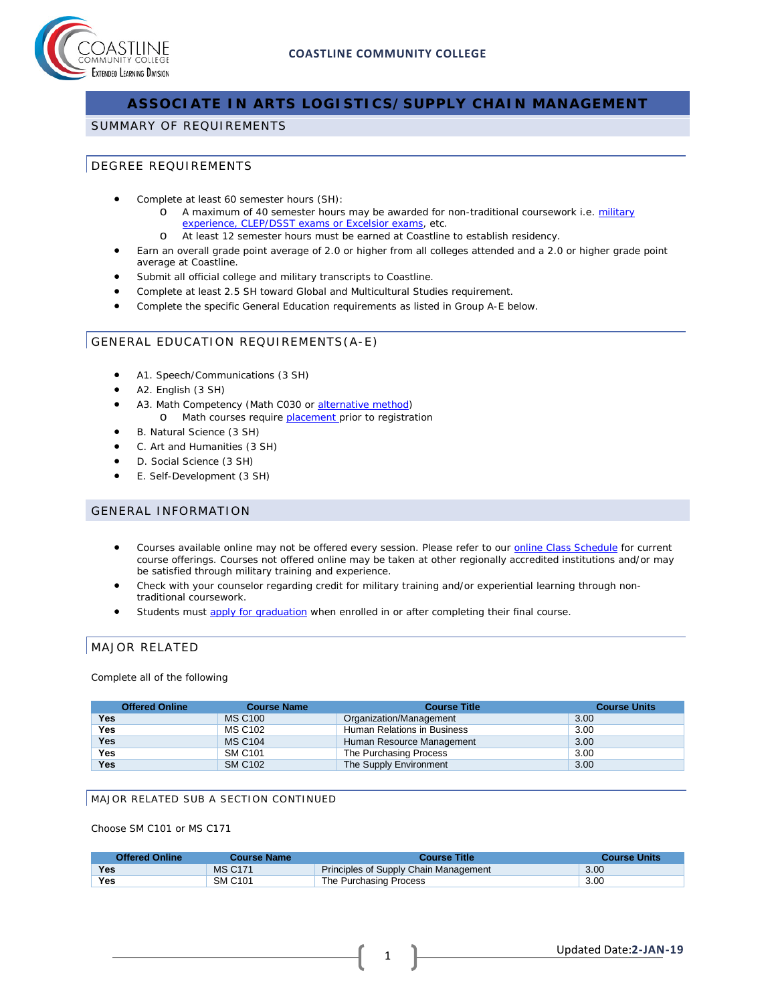

# **ASSOCIATE IN ARTS LOGISTICS/SUPPLY CHAIN MANAGEMENT**

#### SUMMARY OF REQUIREMENTS

### DEGREE REQUIREMENTS

- Complete at least 60 semester hours (SH):
	- o A maximum of 40 semester hours may be awarded for non-traditional coursework i.e. military [experience, CLEP/DSST exams or Excelsior exams,](http://military.coastline.edu/page.cfm?LinkID=1473) etc.
	- o At least 12 semester hours must be earned at Coastline to establish residency.
- Earn an overall grade point average of 2.0 or higher from all colleges attended and a 2.0 or higher grade point average at Coastline.
- Submit all official college and military transcripts to Coastline.
- Complete at least 2.5 SH toward Global and Multicultural Studies requirement.
- Complete the specific General Education requirements as listed in Group A-E below.

## GENERAL EDUCATION REQUIREMENTS(A-E)

- A1. Speech/Communications (3 SH)
- A2. English (3 SH)
- A3. Math Competency (Math C030 or [alternative method\)](http://military.coastline.edu/forms/page.cfm?LinkID=1446) o Math courses require **placement** prior to registration
- B. Natural Science (3 SH)
- C. Art and Humanities (3 SH)
- D. Social Science (3 SH)
- E. Self-Development (3 SH)

#### GENERAL INFORMATION

- Courses available online may not be offered every session. Please refer to our [online Class](http://military.coastline.edu/schedule/page.cfm?LinkID=1706) Schedule for current course offerings. Courses not offered online may be taken at other regionally accredited institutions and/or may be satisfied through military training and experience.
- Check with your counselor regarding credit for military training and/or experiential learning through nontraditional coursework.
- Students must [apply for graduation](http://military.coastline.edu/active-duty/page.cfm?LinkID=1437) when enrolled in or after completing their final course.

## MAJOR RELATED

#### Complete all of the following

| <b>Offered Online</b> | <b>Course Name</b> | <b>Course Title</b>         | <b>Course Units</b> |
|-----------------------|--------------------|-----------------------------|---------------------|
| Yes                   | <b>MS C100</b>     | Organization/Management     | 3.00                |
| <b>Yes</b>            | <b>MS C102</b>     | Human Relations in Business | 3.00                |
| <b>Yes</b>            | <b>MS C104</b>     | Human Resource Management   | 3.00                |
| <b>Yes</b>            | <b>SM C101</b>     | The Purchasing Process      | 3.00                |
| <b>Yes</b>            | <b>SM C102</b>     | The Supply Environment      | 3.00                |

#### MAJOR RELATED SUB A SECTION CONTINUED

Choose SM C101 or MS C171

| <b>Offered Online</b> | Course Name    | Course Title                          | <b>Course Units</b> |
|-----------------------|----------------|---------------------------------------|---------------------|
| <b>Yes</b>            | <b>MS C171</b> | Principles of Supply Chain Management | 3.00                |
| Yes                   | <b>SM C101</b> | The Purchasing Process                | 3.00                |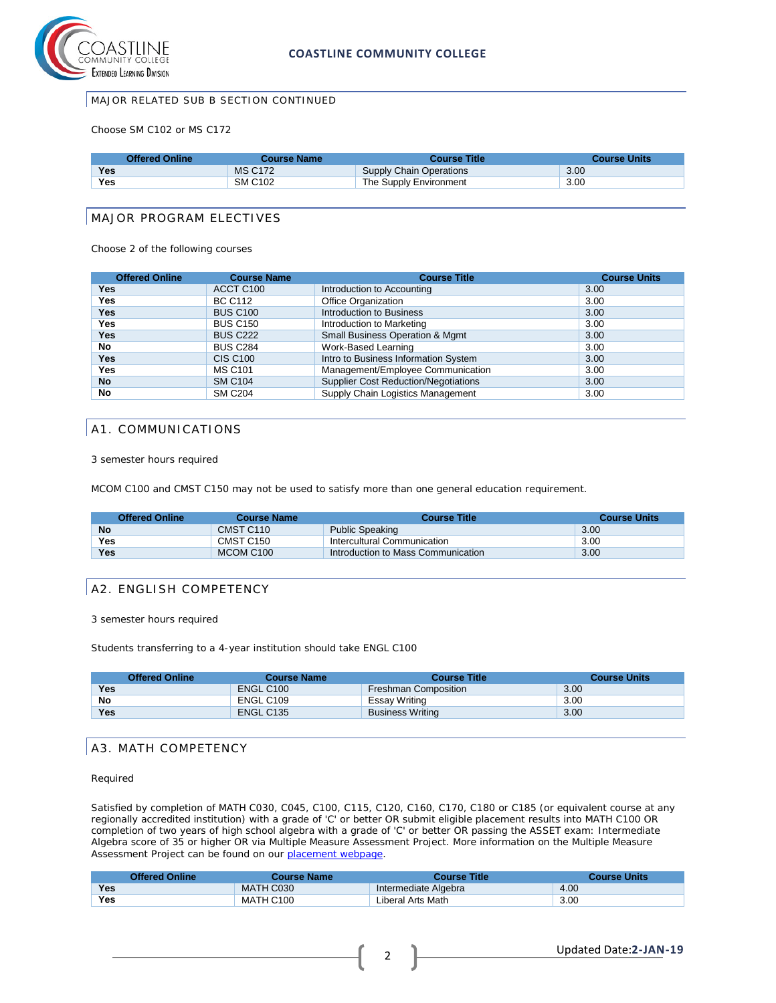

#### MAJOR RELATED SUB B SECTION CONTINUED

Choose SM C102 or MS C172

| <b>Offered Online</b> | Course Name    | <b>Course Title</b>     | <b>Course Units</b> |
|-----------------------|----------------|-------------------------|---------------------|
| <b>Yes</b>            | <b>MS C172</b> | Supply Chain Operations | 3.00                |
| Yes                   | <b>SM C102</b> | The Supply Environment  | 3.00                |

#### MAJOR PROGRAM ELECTIVES

Choose 2 of the following courses

| <b>Offered Online</b> | <b>Course Name</b>    | <b>Course Title</b>                         | <b>Course Units</b> |
|-----------------------|-----------------------|---------------------------------------------|---------------------|
| Yes                   | ACCT C <sub>100</sub> | Introduction to Accounting                  | 3.00                |
| Yes                   | <b>BC C112</b>        | Office Organization                         | 3.00                |
| Yes                   | <b>BUS C100</b>       | Introduction to Business                    | 3.00                |
| Yes                   | <b>BUS C150</b>       | Introduction to Marketing                   | 3.00                |
| Yes                   | <b>BUS C222</b>       | <b>Small Business Operation &amp; Mgmt</b>  | 3.00                |
| <b>No</b>             | <b>BUS C284</b>       | Work-Based Learning                         | 3.00                |
| Yes                   | <b>CIS C100</b>       | Intro to Business Information System        | 3.00                |
| Yes                   | <b>MS C101</b>        | Management/Employee Communication           | 3.00                |
| <b>No</b>             | <b>SM C104</b>        | <b>Supplier Cost Reduction/Negotiations</b> | 3.00                |
| No                    | <b>SM C204</b>        | Supply Chain Logistics Management           | 3.00                |

#### A1. COMMUNICATIONS

3 semester hours required

MCOM C100 and CMST C150 may not be used to satisfy more than one general education requirement.

| <b>Offered Online</b> | <b>Course Name</b> | <b>Course Title</b>                | <b>Course Units</b> |
|-----------------------|--------------------|------------------------------------|---------------------|
| <b>No</b>             | CMST C110          | <b>Public Speaking</b>             | 3.00                |
| Yes                   | CMST C150          | Intercultural Communication        | 3.00                |
| Yes                   | MCOM C100          | Introduction to Mass Communication | 3.00                |

#### A2. ENGLISH COMPETENCY

3 semester hours required

Students transferring to a 4-year institution should take ENGL C100

| <b>Offered Online</b> | <b>Course Name</b>    | <b>Course Title</b>         | <b>Course Units</b> |
|-----------------------|-----------------------|-----------------------------|---------------------|
| <b>Yes</b>            | ENGL C <sub>100</sub> | <b>Freshman Composition</b> | 3.00                |
| No                    | ENGL C109             | Essay Writing               | 3.00                |
| Yes                   | ENGL C135             | <b>Business Writing</b>     | 3.00                |

#### A3. MATH COMPETENCY

Required

Satisfied by completion of MATH C030, C045, C100, C115, C120, C160, C170, C180 or C185 (or equivalent course at any regionally accredited institution) with a grade of 'C' or better OR submit eligible placement results into MATH C100 OR completion of two years of high school algebra with a grade of 'C' or better OR passing the ASSET exam: Intermediate Algebra score of 35 or higher OR via Multiple Measure Assessment Project. More information on the Multiple Measure Assessment Project can be found on our [placement webpage.](http://military.coastline.edu/active-duty/page.cfm?LinkID=1446)

|            | <b>Offered Online</b> | Course Name | Course Title         | <b>Course Units</b> |
|------------|-----------------------|-------------|----------------------|---------------------|
| <b>Yes</b> |                       | MATH C030   | Intermediate Algebra | 4.00                |
| <b>Yes</b> |                       | MATH C100   | Liberal Arts Math    | 3.00                |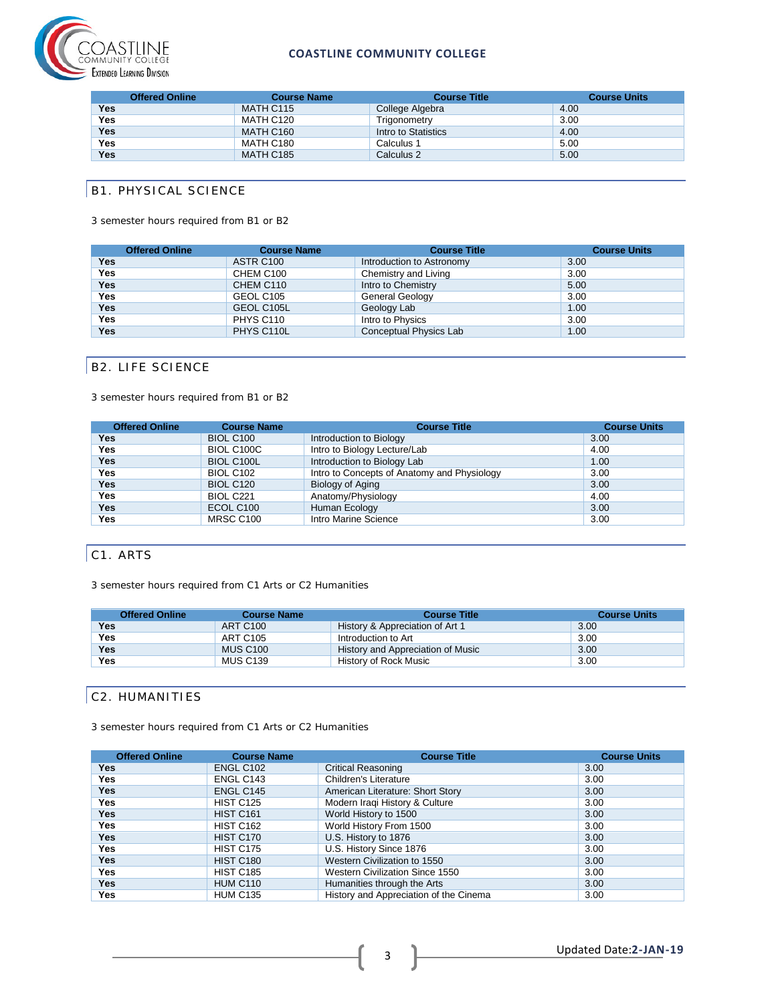

#### **COASTLINE COMMUNITY COLLEGE**

|            | <b>Offered Online</b> | <b>Course Name</b> | <b>Course Title</b> | <b>Course Units</b> |
|------------|-----------------------|--------------------|---------------------|---------------------|
| Yes        |                       | MATH C115          | College Algebra     | 4.00                |
| <b>Yes</b> |                       | MATH C120          | Trigonometry        | 3.00                |
| <b>Yes</b> |                       | MATH C160          | Intro to Statistics | 4.00                |
| <b>Yes</b> |                       | MATH C180          | Calculus 1          | 5.00                |
| Yes        |                       | MATH C185          | Calculus 2          | 5.00                |

## **B1. PHYSICAL SCIENCE**

3 semester hours required from B1 or B2

|            | <b>Offered Online</b> | <b>Course Name</b> | <b>Course Title</b>       | <b>Course Units</b> |
|------------|-----------------------|--------------------|---------------------------|---------------------|
| <b>Yes</b> |                       | ASTR C100          | Introduction to Astronomy | 3.00                |
| Yes        |                       | CHEM C100          | Chemistry and Living      | 3.00                |
| <b>Yes</b> |                       | CHEM C110          | Intro to Chemistry        | 5.00                |
| <b>Yes</b> |                       | GEOL C105          | <b>General Geology</b>    | 3.00                |
| <b>Yes</b> |                       | GEOL C105L         | Geology Lab               | 1.00                |
| Yes        |                       | PHYS C110          | Intro to Physics          | 3.00                |
| Yes        |                       | PHYS C110L         | Conceptual Physics Lab    | 1.00                |

## B2. LIFE SCIENCE

3 semester hours required from B1 or B2

| <b>Offered Online</b> | <b>Course Name</b> | <b>Course Title</b>                         | <b>Course Units</b> |
|-----------------------|--------------------|---------------------------------------------|---------------------|
| Yes                   | <b>BIOL C100</b>   | Introduction to Biology                     | 3.00                |
| Yes                   | BIOL C100C         | Intro to Biology Lecture/Lab                | 4.00                |
| Yes                   | <b>BIOL C100L</b>  | Introduction to Biology Lab                 | 1.00                |
| Yes                   | <b>BIOL C102</b>   | Intro to Concepts of Anatomy and Physiology | 3.00                |
| Yes                   | <b>BIOL C120</b>   | Biology of Aging                            | 3.00                |
| <b>Yes</b>            | BIOL C221          | Anatomy/Physiology                          | 4.00                |
| <b>Yes</b>            | ECOL C100          | Human Ecology                               | 3.00                |
| Yes                   | MRSC C100          | Intro Marine Science                        | 3.00                |

# C1. ARTS

3 semester hours required from C1 Arts or C2 Humanities

| 3.00 |
|------|
|      |
| 3.00 |
| 3.00 |
| 3.00 |
|      |

## C2. HUMANITIES

3 semester hours required from C1 Arts or C2 Humanities

| <b>Offered Online</b> | <b>Course Name</b>    | <b>Course Title</b>                    | <b>Course Units</b> |
|-----------------------|-----------------------|----------------------------------------|---------------------|
| Yes.                  | ENGL C <sub>102</sub> | <b>Critical Reasoning</b>              | 3.00                |
| Yes                   | ENGL C143             | Children's Literature                  | 3.00                |
| <b>Yes</b>            | ENGL C145             | American Literature: Short Story       | 3.00                |
| Yes                   | <b>HIST C125</b>      | Modern Iraqi History & Culture         | 3.00                |
| <b>Yes</b>            | <b>HIST C161</b>      | World History to 1500                  | 3.00                |
| Yes                   | <b>HIST C162</b>      | World History From 1500                | 3.00                |
| <b>Yes</b>            | <b>HIST C170</b>      | U.S. History to 1876                   | 3.00                |
| Yes                   | <b>HIST C175</b>      | U.S. History Since 1876                | 3.00                |
| <b>Yes</b>            | <b>HIST C180</b>      | Western Civilization to 1550           | 3.00                |
| Yes                   | <b>HIST C185</b>      | Western Civilization Since 1550        | 3.00                |
| <b>Yes</b>            | <b>HUM C110</b>       | Humanities through the Arts            | 3.00                |
| Yes                   | <b>HUM C135</b>       | History and Appreciation of the Cinema | 3.00                |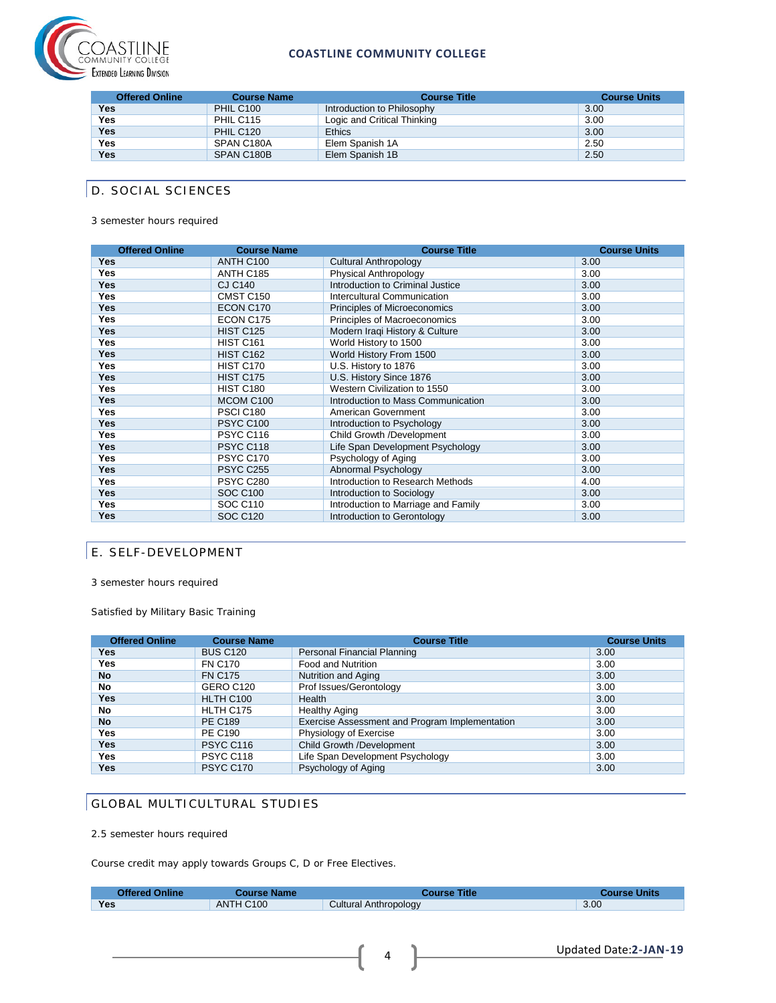

#### **COASTLINE COMMUNITY COLLEGE**

| <b>Offered Online</b> | <b>Course Name</b> | <b>Course Title</b>         | <b>Course Units</b> |
|-----------------------|--------------------|-----------------------------|---------------------|
| Yes                   | <b>PHIL C100</b>   | Introduction to Philosophy  | 3.00                |
| <b>Yes</b>            | PHIL C115          | Logic and Critical Thinking | 3.00                |
| <b>Yes</b>            | PHIL C120          | <b>Ethics</b>               | 3.00                |
| <b>Yes</b>            | SPAN C180A         | Elem Spanish 1A             | 2.50                |
| <b>Yes</b>            | SPAN C180B         | Elem Spanish 1B             | 2.50                |

# D. SOCIAL SCIENCES

3 semester hours required

| <b>Offered Online</b> | <b>Course Name</b> | <b>Course Title</b>                 | <b>Course Units</b> |
|-----------------------|--------------------|-------------------------------------|---------------------|
| <b>Yes</b>            | ANTH C100          | <b>Cultural Anthropology</b>        | 3.00                |
| <b>Yes</b>            | ANTH C185          | Physical Anthropology               | 3.00                |
| <b>Yes</b>            | <b>CJ C140</b>     | Introduction to Criminal Justice    | 3.00                |
| <b>Yes</b>            | CMST C150          | Intercultural Communication         | 3.00                |
| <b>Yes</b>            | ECON C170          | Principles of Microeconomics        | 3.00                |
| <b>Yes</b>            | ECON C175          | Principles of Macroeconomics        | 3.00                |
| <b>Yes</b>            | <b>HIST C125</b>   | Modern Iraqi History & Culture      | 3.00                |
| <b>Yes</b>            | <b>HIST C161</b>   | World History to 1500               | 3.00                |
| <b>Yes</b>            | <b>HIST C162</b>   | World History From 1500             | 3.00                |
| <b>Yes</b>            | HIST C170          | U.S. History to 1876                | 3.00                |
| <b>Yes</b>            | HIST C175          | U.S. History Since 1876             | 3.00                |
| <b>Yes</b>            | <b>HIST C180</b>   | Western Civilization to 1550        | 3.00                |
| <b>Yes</b>            | MCOM C100          | Introduction to Mass Communication  | 3.00                |
| <b>Yes</b>            | PSCI C180          | American Government                 | 3.00                |
| <b>Yes</b>            | <b>PSYC C100</b>   | Introduction to Psychology          | 3.00                |
| <b>Yes</b>            | PSYC C116          | Child Growth /Development           | 3.00                |
| <b>Yes</b>            | PSYC C118          | Life Span Development Psychology    | 3.00                |
| <b>Yes</b>            | PSYC C170          | Psychology of Aging                 | 3.00                |
| <b>Yes</b>            | <b>PSYC C255</b>   | Abnormal Psychology                 | 3.00                |
| <b>Yes</b>            | <b>PSYC C280</b>   | Introduction to Research Methods    | 4.00                |
| <b>Yes</b>            | <b>SOC C100</b>    | Introduction to Sociology           | 3.00                |
| <b>Yes</b>            | <b>SOC C110</b>    | Introduction to Marriage and Family | 3.00                |
| <b>Yes</b>            | <b>SOC C120</b>    | Introduction to Gerontology         | 3.00                |

## E. SELF-DEVELOPMENT

3 semester hours required

Satisfied by Military Basic Training

| <b>Offered Online</b> | <b>Course Name</b> | <b>Course Title</b>                            | <b>Course Units</b> |
|-----------------------|--------------------|------------------------------------------------|---------------------|
| Yes                   | <b>BUS C120</b>    | Personal Financial Planning                    | 3.00                |
| Yes                   | <b>FN C170</b>     | <b>Food and Nutrition</b>                      | 3.00                |
| <b>No</b>             | <b>FN C175</b>     | Nutrition and Aging                            | 3.00                |
| No                    | GERO C120          | Prof Issues/Gerontology                        | 3.00                |
| Yes                   | HLTH C100          | Health                                         | 3.00                |
| No                    | HLTH C175          | <b>Healthy Aging</b>                           | 3.00                |
| <b>No</b>             | <b>PE C189</b>     | Exercise Assessment and Program Implementation | 3.00                |
| Yes                   | <b>PE C190</b>     | Physiology of Exercise                         | 3.00                |
| Yes                   | <b>PSYC C116</b>   | Child Growth /Development                      | 3.00                |
| Yes                   | PSYC C118          | Life Span Development Psychology               | 3.00                |
| Yes                   | <b>PSYC C170</b>   | Psychology of Aging                            | 3.00                |

# GLOBAL MULTICULTURAL STUDIES

2.5 semester hours required

Course credit may apply towards Groups C, D or Free Electives.

| <b>Offered Online</b> | <b>Course Name</b> | <b>Course Title</b>   | <b>Course Units</b> |
|-----------------------|--------------------|-----------------------|---------------------|
| <b>Yes</b>            | ANTH C100          | Cultural Anthropology | 3.00                |